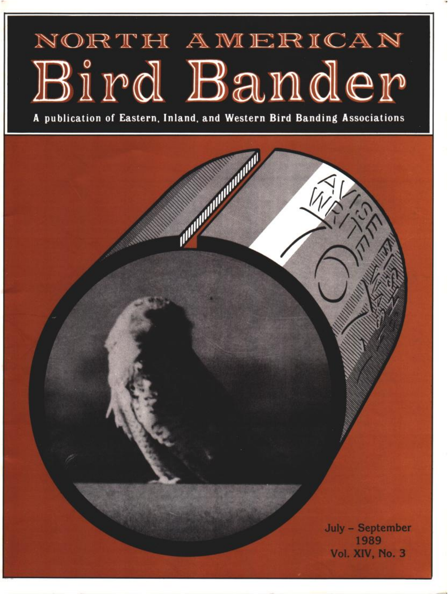# NORTH AMERICAN Bird Bander

**A publication of Eastern, Inland, and Western Bird Banding Associations**